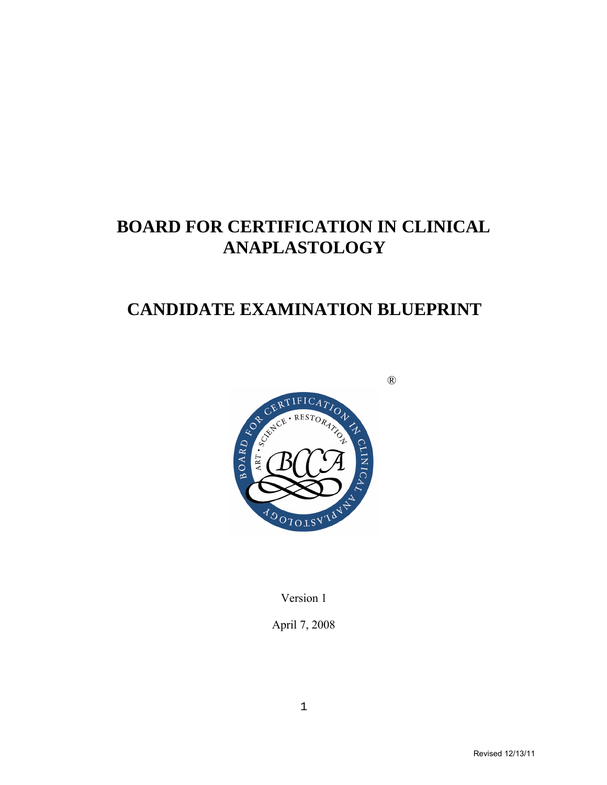# **BOARD FOR CERTIFICATION IN CLINICAL ANAPLASTOLOGY**

# **CANDIDATE EXAMINATION BLUEPRINT**



Version 1

April 7, 2008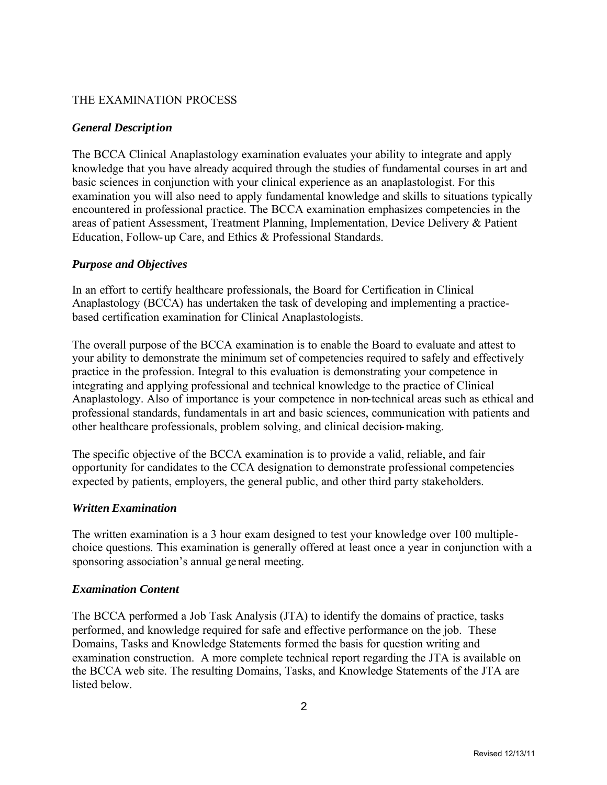# THE EXAMINATION PROCESS

# *General Description*

The BCCA Clinical Anaplastology examination evaluates your ability to integrate and apply knowledge that you have already acquired through the studies of fundamental courses in art and basic sciences in conjunction with your clinical experience as an anaplastologist. For this examination you will also need to apply fundamental knowledge and skills to situations typically encountered in professional practice. The BCCA examination emphasizes competencies in the areas of patient Assessment, Treatment Planning, Implementation, Device Delivery & Patient Education, Follow-up Care, and Ethics & Professional Standards.

## *Purpose and Objectives*

In an effort to certify healthcare professionals, the Board for Certification in Clinical Anaplastology (BCCA) has undertaken the task of developing and implementing a practicebased certification examination for Clinical Anaplastologists.

The overall purpose of the BCCA examination is to enable the Board to evaluate and attest to your ability to demonstrate the minimum set of competencies required to safely and effectively practice in the profession. Integral to this evaluation is demonstrating your competence in integrating and applying professional and technical knowledge to the practice of Clinical Anaplastology. Also of importance is your competence in non-technical areas such as ethical and professional standards, fundamentals in art and basic sciences, communication with patients and other healthcare professionals, problem solving, and clinical decision-making.

The specific objective of the BCCA examination is to provide a valid, reliable, and fair opportunity for candidates to the CCA designation to demonstrate professional competencies expected by patients, employers, the general public, and other third party stakeholders.

## *Written Examination*

The written examination is a 3 hour exam designed to test your knowledge over 100 multiplechoice questions. This examination is generally offered at least once a year in conjunction with a sponsoring association's annual general meeting.

## *Examination Content*

The BCCA performed a Job Task Analysis (JTA) to identify the domains of practice, tasks performed, and knowledge required for safe and effective performance on the job. These Domains, Tasks and Knowledge Statements formed the basis for question writing and examination construction. A more complete technical report regarding the JTA is available on the BCCA web site. The resulting Domains, Tasks, and Knowledge Statements of the JTA are listed below.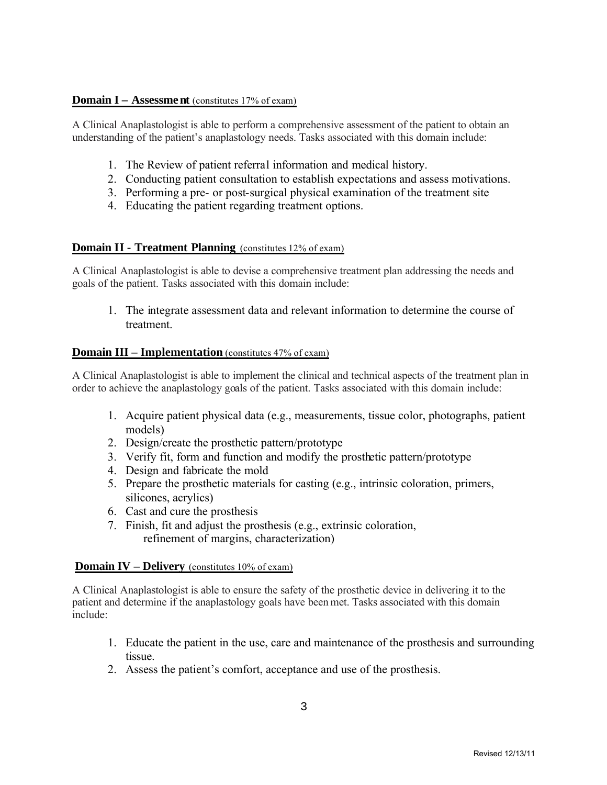## **Domain I – Assessment** (constitutes 17% of exam)

A Clinical Anaplastologist is able to perform a comprehensive assessment of the patient to obtain an understanding of the patient's anaplastology needs. Tasks associated with this domain include:

- 1. The Review of patient referral information and medical history.
- 2. Conducting patient consultation to establish expectations and assess motivations.
- 3. Performing a pre- or post-surgical physical examination of the treatment site
- 4. Educating the patient regarding treatment options.

#### **Domain II - Treatment Planning** (constitutes 12% of exam)

A Clinical Anaplastologist is able to devise a comprehensive treatment plan addressing the needs and goals of the patient. Tasks associated with this domain include:

1. The integrate assessment data and relevant information to determine the course of treatment.

#### **Domain III – Implementation** (constitutes 47% of exam)

A Clinical Anaplastologist is able to implement the clinical and technical aspects of the treatment plan in order to achieve the anaplastology goals of the patient. Tasks associated with this domain include:

- 1. Acquire patient physical data (e.g., measurements, tissue color, photographs, patient models)
- 2. Design/create the prosthetic pattern/prototype
- 3. Verify fit, form and function and modify the prosthetic pattern/prototype
- 4. Design and fabricate the mold
- 5. Prepare the prosthetic materials for casting (e.g., intrinsic coloration, primers, silicones, acrylics)
- 6. Cast and cure the prosthesis
- 7. Finish, fit and adjust the prosthesis (e.g., extrinsic coloration, refinement of margins, characterization)

#### **Domain IV – Delivery** (constitutes 10% of exam)

A Clinical Anaplastologist is able to ensure the safety of the prosthetic device in delivering it to the patient and determine if the anaplastology goals have been met. Tasks associated with this domain include:

- 1. Educate the patient in the use, care and maintenance of the prosthesis and surrounding tissue.
- 2. Assess the patient's comfort, acceptance and use of the prosthesis.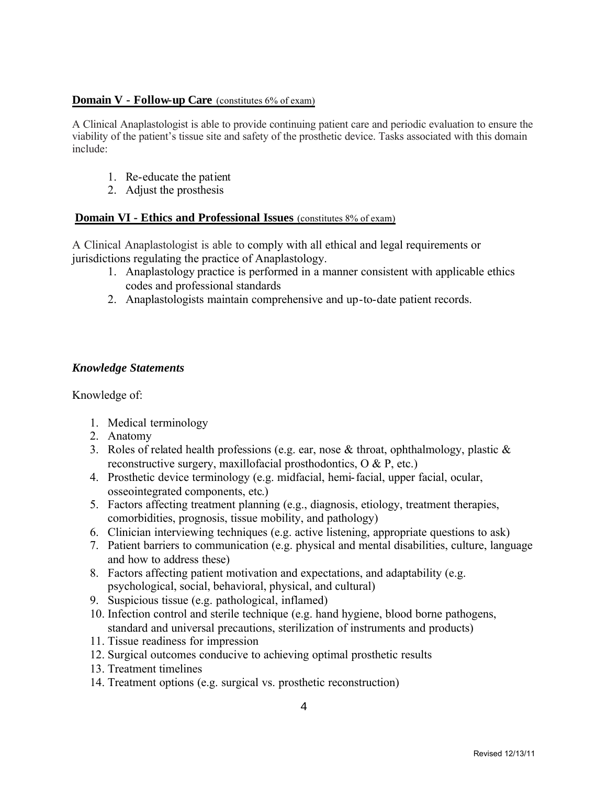## **Domain V - Follow-up Care** (constitutes 6% of exam)

A Clinical Anaplastologist is able to provide continuing patient care and periodic evaluation to ensure the viability of the patient's tissue site and safety of the prosthetic device. Tasks associated with this domain include:

- 1. Re-educate the patient
- 2. Adjust the prosthesis

## **Domain VI - Ethics and Professional Issues** (constitutes 8% of exam)

A Clinical Anaplastologist is able to comply with all ethical and legal requirements or jurisdictions regulating the practice of Anaplastology.

- 1. Anaplastology practice is performed in a manner consistent with applicable ethics codes and professional standards
- 2. Anaplastologists maintain comprehensive and up-to-date patient records.

# *Knowledge Statements*

Knowledge of:

- 1. Medical terminology
- 2. Anatomy
- 3. Roles of related health professions (e.g. ear, nose  $\&$  throat, ophthalmology, plastic  $\&$ reconstructive surgery, maxillofacial prosthodontics, O & P, etc.)
- 4. Prosthetic device terminology (e.g. midfacial, hemi-facial, upper facial, ocular, osseointegrated components, etc.)
- 5. Factors affecting treatment planning (e.g., diagnosis, etiology, treatment therapies, comorbidities, prognosis, tissue mobility, and pathology)
- 6. Clinician interviewing techniques (e.g. active listening, appropriate questions to ask)
- 7. Patient barriers to communication (e.g. physical and mental disabilities, culture, language and how to address these)
- 8. Factors affecting patient motivation and expectations, and adaptability (e.g. psychological, social, behavioral, physical, and cultural)
- 9. Suspicious tissue (e.g. pathological, inflamed)
- 10. Infection control and sterile technique (e.g. hand hygiene, blood borne pathogens, standard and universal precautions, sterilization of instruments and products)
- 11. Tissue readiness for impression
- 12. Surgical outcomes conducive to achieving optimal prosthetic results
- 13. Treatment timelines
- 14. Treatment options (e.g. surgical vs. prosthetic reconstruction)